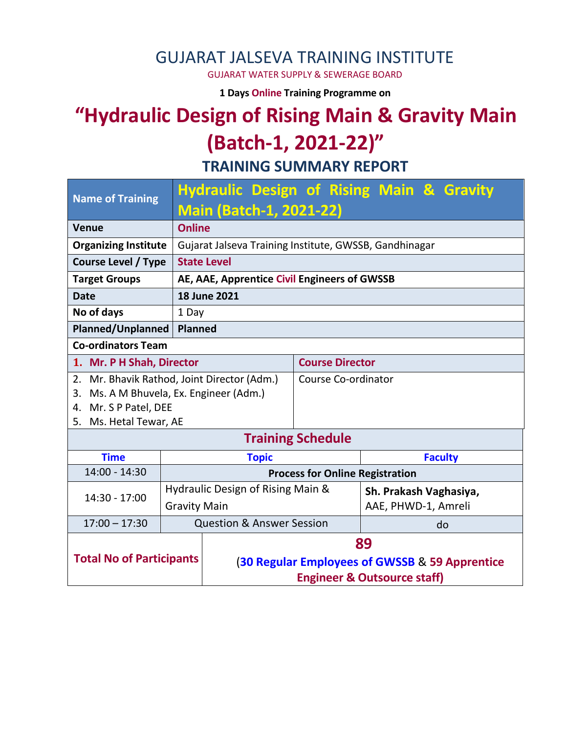#### GUJARAT JALSEVA TRAINING INSTITUTE

GUJARAT WATER SUPPLY & SEWERAGE BOARD

**1 Days Online Training Programme on** 

# **"Hydraulic Design of Rising Main & Gravity Main (Batch-1, 2021-22)"**

**TRAINING SUMMARY REPORT**

| <b>Name of Training</b>                     |                                                        | <b>Hydraulic Design of Rising Main &amp; Gravity</b> |  |                        |                        |                     |  |  |
|---------------------------------------------|--------------------------------------------------------|------------------------------------------------------|--|------------------------|------------------------|---------------------|--|--|
|                                             | <b>Main (Batch-1, 2021-22)</b>                         |                                                      |  |                        |                        |                     |  |  |
| <b>Online</b><br><b>Venue</b>               |                                                        |                                                      |  |                        |                        |                     |  |  |
| <b>Organizing Institute</b>                 | Gujarat Jalseva Training Institute, GWSSB, Gandhinagar |                                                      |  |                        |                        |                     |  |  |
| <b>Course Level / Type</b>                  | <b>State Level</b>                                     |                                                      |  |                        |                        |                     |  |  |
| <b>Target Groups</b>                        |                                                        | AE, AAE, Apprentice Civil Engineers of GWSSB         |  |                        |                        |                     |  |  |
| <b>Date</b>                                 |                                                        | <b>18 June 2021</b>                                  |  |                        |                        |                     |  |  |
| No of days                                  | 1 Day                                                  |                                                      |  |                        |                        |                     |  |  |
| Planned/Unplanned<br><b>Planned</b>         |                                                        |                                                      |  |                        |                        |                     |  |  |
| <b>Co-ordinators Team</b>                   |                                                        |                                                      |  |                        |                        |                     |  |  |
| 1. Mr. P H Shah, Director                   |                                                        |                                                      |  | <b>Course Director</b> |                        |                     |  |  |
| 2. Mr. Bhavik Rathod, Joint Director (Adm.) |                                                        |                                                      |  | Course Co-ordinator    |                        |                     |  |  |
| Ms. A M Bhuvela, Ex. Engineer (Adm.)<br>3.  |                                                        |                                                      |  |                        |                        |                     |  |  |
| 4. Mr. S P Patel, DEE                       |                                                        |                                                      |  |                        |                        |                     |  |  |
| 5. Ms. Hetal Tewar, AE                      |                                                        |                                                      |  |                        |                        |                     |  |  |
| <b>Training Schedule</b>                    |                                                        |                                                      |  |                        |                        |                     |  |  |
| <b>Time</b>                                 |                                                        | <b>Topic</b>                                         |  |                        |                        | <b>Faculty</b>      |  |  |
| $14:00 - 14:30$                             |                                                        | <b>Process for Online Registration</b>               |  |                        |                        |                     |  |  |
| 14:30 - 17:00                               | Hydraulic Design of Rising Main &                      |                                                      |  |                        | Sh. Prakash Vaghasiya, |                     |  |  |
|                                             | <b>Gravity Main</b>                                    |                                                      |  |                        |                        | AAE, PHWD-1, Amreli |  |  |
| $17:00 - 17:30$                             |                                                        | <b>Question &amp; Answer Session</b><br>do           |  |                        |                        |                     |  |  |
|                                             |                                                        | 89                                                   |  |                        |                        |                     |  |  |
| <b>Total No of Participants</b>             |                                                        | (30 Regular Employees of GWSSB & 59 Apprentice       |  |                        |                        |                     |  |  |
|                                             |                                                        | <b>Engineer &amp; Outsource staff)</b>               |  |                        |                        |                     |  |  |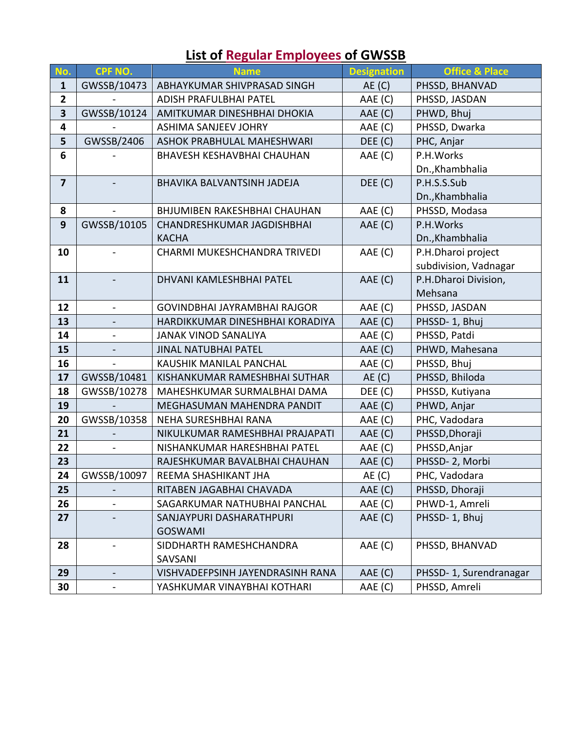| No.                     | CPF NO.        | <b>Name</b>                         | <b>Designation</b> | <b>Office &amp; Place</b> |  |
|-------------------------|----------------|-------------------------------------|--------------------|---------------------------|--|
| $\mathbf{1}$            | GWSSB/10473    | ABHAYKUMAR SHIVPRASAD SINGH         | AE(C)              | PHSSD, BHANVAD            |  |
| $\overline{2}$          |                | ADISH PRAFULBHAI PATEL              | AAE (C)            | PHSSD, JASDAN             |  |
| $\overline{\mathbf{3}}$ | GWSSB/10124    | AMITKUMAR DINESHBHAI DHOKIA         | AAE (C)            | PHWD, Bhuj                |  |
| $\overline{\mathbf{4}}$ |                | <b>ASHIMA SANJEEV JOHRY</b>         | AAE (C)            | PHSSD, Dwarka             |  |
| 5                       | GWSSB/2406     | ASHOK PRABHULAL MAHESHWARI          | DEE (C)            | PHC, Anjar                |  |
| 6                       |                | <b>BHAVESH KESHAVBHAI CHAUHAN</b>   | AAE (C)            | P.H.Works                 |  |
|                         |                |                                     |                    | Dn., Khambhalia           |  |
| $\overline{7}$          |                | BHAVIKA BALVANTSINH JADEJA          | DEF(C)             | P.H.S.S.Sub               |  |
|                         |                |                                     |                    | Dn., Khambhalia           |  |
| 8                       | $\blacksquare$ | BHJUMIBEN RAKESHBHAI CHAUHAN        | AAE (C)            | PHSSD, Modasa             |  |
| 9                       | GWSSB/10105    | CHANDRESHKUMAR JAGDISHBHAI          | AAE (C)            | P.H.Works                 |  |
|                         |                | <b>KACHA</b>                        |                    | Dn., Khambhalia           |  |
| 10                      |                | CHARMI MUKESHCHANDRA TRIVEDI        | AAE (C)            | P.H.Dharoi project        |  |
|                         |                |                                     |                    | subdivision, Vadnagar     |  |
| 11                      |                | DHVANI KAMLESHBHAI PATEL            | AAE (C)            | P.H.Dharoi Division,      |  |
|                         |                |                                     |                    | Mehsana                   |  |
| 12                      |                | <b>GOVINDBHAI JAYRAMBHAI RAJGOR</b> | AAE (C)            | PHSSD, JASDAN             |  |
| 13                      |                | HARDIKKUMAR DINESHBHAI KORADIYA     | AAE (C)            | PHSSD-1, Bhuj             |  |
| 14                      |                | <b>JANAK VINOD SANALIYA</b>         | AAE (C)            | PHSSD, Patdi              |  |
| 15                      |                | <b>JINAL NATUBHAI PATEL</b>         | AAE (C)            | PHWD, Mahesana            |  |
| 16                      |                | KAUSHIK MANILAL PANCHAL             | AAE (C)            | PHSSD, Bhuj               |  |
| 17                      | GWSSB/10481    | KISHANKUMAR RAMESHBHAI SUTHAR       | AE(C)              | PHSSD, Bhiloda            |  |
| 18                      | GWSSB/10278    | MAHESHKUMAR SURMALBHAI DAMA         | DEE (C)            | PHSSD, Kutiyana           |  |
| 19                      |                | MEGHASUMAN MAHENDRA PANDIT          | AAE (C)            | PHWD, Anjar               |  |
| 20                      | GWSSB/10358    | NEHA SURESHBHAI RANA                | AAE (C)            | PHC, Vadodara             |  |
| 21                      |                | NIKULKUMAR RAMESHBHAI PRAJAPATI     | AAE (C)            | PHSSD, Dhoraji            |  |
| 22                      |                | NISHANKUMAR HARESHBHAI PATEL        | AAE (C)            | PHSSD, Anjar              |  |
| 23                      |                | RAJESHKUMAR BAVALBHAI CHAUHAN       | AAE (C)            | PHSSD-2, Morbi            |  |
| 24                      | GWSSB/10097    | REEMA SHASHIKANT JHA                | AE(C)              | PHC, Vadodara             |  |
| 25                      |                | RITABEN JAGABHAI CHAVADA            | AAE (C)            | PHSSD, Dhoraji            |  |
| 26                      |                | SAGARKUMAR NATHUBHAI PANCHAL        | AAE (C)            | PHWD-1, Amreli            |  |
| 27                      |                | SANJAYPURI DASHARATHPURI            | AAE (C)            | PHSSD-1, Bhuj             |  |
|                         |                | <b>GOSWAMI</b>                      |                    |                           |  |
| 28                      |                | AAE (C)<br>SIDDHARTH RAMESHCHANDRA  |                    | PHSSD, BHANVAD            |  |
|                         |                | SAVSANI                             |                    |                           |  |
| 29                      |                | VISHVADEFPSINH JAYENDRASINH RANA    | AAE (C)            | PHSSD-1, Surendranagar    |  |
| 30                      |                | YASHKUMAR VINAYBHAI KOTHARI         | AAE (C)            | PHSSD, Amreli             |  |

## **List of Regular Employees of GWSSB**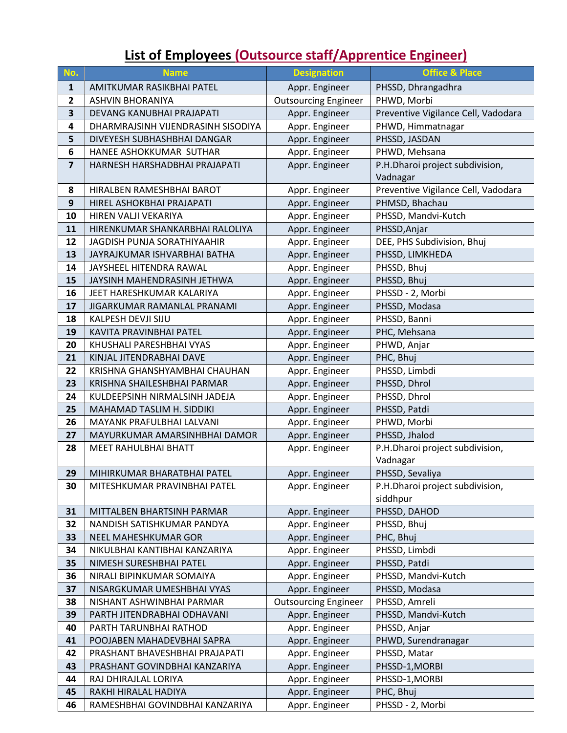## **List of Employees (Outsource staff/Apprentice Engineer)**

| No.                     | <b>Name</b>                                              | <b>Designation</b>               | <b>Office &amp; Place</b>           |
|-------------------------|----------------------------------------------------------|----------------------------------|-------------------------------------|
| $\mathbf{1}$            | AMITKUMAR RASIKBHAI PATEL                                | Appr. Engineer                   | PHSSD, Dhrangadhra                  |
| $\overline{2}$          | <b>ASHVIN BHORANIYA</b>                                  | <b>Outsourcing Engineer</b>      | PHWD, Morbi                         |
| $\overline{\mathbf{3}}$ | DEVANG KANUBHAI PRAJAPATI                                | Appr. Engineer                   | Preventive Vigilance Cell, Vadodara |
| 4                       | DHARMRAJSINH VIJENDRASINH SISODIYA                       | Appr. Engineer                   | PHWD, Himmatnagar                   |
| 5                       | DIVEYESH SUBHASHBHAI DANGAR                              | Appr. Engineer                   | PHSSD, JASDAN                       |
| 6                       | HANEE ASHOKKUMAR SUTHAR                                  | Appr. Engineer                   | PHWD, Mehsana                       |
| $\overline{\mathbf{z}}$ | HARNESH HARSHADBHAI PRAJAPATI                            | Appr. Engineer                   | P.H.Dharoi project subdivision,     |
|                         |                                                          |                                  | Vadnagar                            |
| 8                       | HIRALBEN RAMESHBHAI BAROT                                | Appr. Engineer                   | Preventive Vigilance Cell, Vadodara |
| 9                       | HIREL ASHOKBHAI PRAJAPATI                                | Appr. Engineer                   | PHMSD, Bhachau                      |
| 10                      | HIREN VALJI VEKARIYA                                     | Appr. Engineer                   | PHSSD, Mandvi-Kutch                 |
| 11                      | HIRENKUMAR SHANKARBHAI RALOLIYA                          | Appr. Engineer                   | PHSSD, Anjar                        |
| 12                      | <b>JAGDISH PUNJA SORATHIYAAHIR</b>                       | Appr. Engineer                   | DEE, PHS Subdivision, Bhuj          |
| 13                      | JAYRAJKUMAR ISHVARBHAI BATHA                             | Appr. Engineer                   | PHSSD, LIMKHEDA                     |
| 14                      | JAYSHEEL HITENDRA RAWAL                                  | Appr. Engineer                   | PHSSD, Bhuj                         |
| 15                      | JAYSINH MAHENDRASINH JETHWA                              | Appr. Engineer                   | PHSSD, Bhuj                         |
| 16                      | JEET HARESHKUMAR KALARIYA                                | Appr. Engineer                   | PHSSD - 2, Morbi                    |
| 17                      | JIGARKUMAR RAMANLAL PRANAMI                              | Appr. Engineer                   | PHSSD, Modasa                       |
| 18                      | KALPESH DEVJI SIJU                                       | Appr. Engineer                   | PHSSD, Banni                        |
| 19                      | KAVITA PRAVINBHAI PATEL                                  | Appr. Engineer                   | PHC, Mehsana                        |
| 20                      | KHUSHALI PARESHBHAI VYAS                                 | Appr. Engineer                   | PHWD, Anjar                         |
| 21                      | KINJAL JITENDRABHAI DAVE                                 | Appr. Engineer                   | PHC, Bhuj                           |
| 22                      | KRISHNA GHANSHYAMBHAI CHAUHAN                            | Appr. Engineer                   | PHSSD, Limbdi                       |
| 23                      | KRISHNA SHAILESHBHAI PARMAR                              | Appr. Engineer                   | PHSSD, Dhrol                        |
| 24                      | KULDEEPSINH NIRMALSINH JADEJA                            | Appr. Engineer                   | PHSSD, Dhrol                        |
| 25                      | MAHAMAD TASLIM H. SIDDIKI                                | Appr. Engineer                   | PHSSD, Patdi                        |
| 26                      | MAYANK PRAFULBHAI LALVANI                                | Appr. Engineer                   | PHWD, Morbi                         |
| 27                      | MAYURKUMAR AMARSINHBHAI DAMOR                            | Appr. Engineer                   | PHSSD, Jhalod                       |
| 28                      | <b>MEET RAHULBHAI BHATT</b>                              | Appr. Engineer                   | P.H.Dharoi project subdivision,     |
|                         |                                                          |                                  | Vadnagar                            |
| 29                      | MIHIRKUMAR BHARATBHAI PATEL                              | Appr. Engineer                   | PHSSD, Sevaliya                     |
| 30                      | MITESHKUMAR PRAVINBHAI PATEL                             | Appr. Engineer                   | P.H.Dharoi project subdivision,     |
|                         |                                                          |                                  | siddhpur                            |
| 31                      | MITTALBEN BHARTSINH PARMAR                               | Appr. Engineer                   | PHSSD, DAHOD                        |
| 32                      | NANDISH SATISHKUMAR PANDYA                               | Appr. Engineer                   | PHSSD, Bhuj                         |
| 33                      | NEEL MAHESHKUMAR GOR                                     | Appr. Engineer                   | PHC, Bhuj                           |
| 34<br>35                | NIKULBHAI KANTIBHAI KANZARIYA<br>NIMESH SURESHBHAI PATEL | Appr. Engineer<br>Appr. Engineer | PHSSD, Limbdi<br>PHSSD, Patdi       |
| 36                      | NIRALI BIPINKUMAR SOMAIYA                                | Appr. Engineer                   | PHSSD, Mandvi-Kutch                 |
| 37                      | NISARGKUMAR UMESHBHAI VYAS                               | Appr. Engineer                   | PHSSD, Modasa                       |
| 38                      | NISHANT ASHWINBHAI PARMAR                                | <b>Outsourcing Engineer</b>      | PHSSD, Amreli                       |
| 39                      | PARTH JITENDRABHAI ODHAVANI                              | Appr. Engineer                   | PHSSD, Mandvi-Kutch                 |
| 40                      | PARTH TARUNBHAI RATHOD                                   | Appr. Engineer                   | PHSSD, Anjar                        |
| 41                      | POOJABEN MAHADEVBHAI SAPRA                               | Appr. Engineer                   | PHWD, Surendranagar                 |
| 42                      | PRASHANT BHAVESHBHAI PRAJAPATI                           | Appr. Engineer                   | PHSSD, Matar                        |
| 43                      | PRASHANT GOVINDBHAI KANZARIYA                            | Appr. Engineer                   | PHSSD-1, MORBI                      |
| 44                      | RAJ DHIRAJLAL LORIYA                                     | Appr. Engineer                   | PHSSD-1, MORBI                      |
| 45                      | RAKHI HIRALAL HADIYA                                     | Appr. Engineer                   | PHC, Bhuj                           |
| 46                      | RAMESHBHAI GOVINDBHAI KANZARIYA                          | Appr. Engineer                   | PHSSD - 2, Morbi                    |